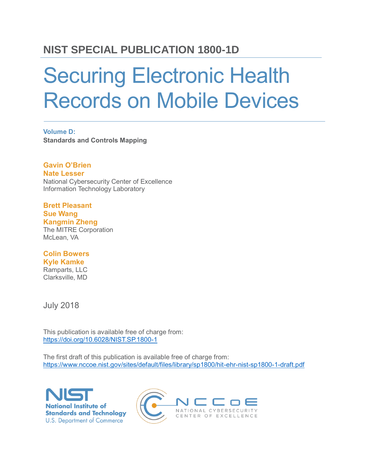# **NIST SPECIAL PUBLICATION 1800-1D**

# Securing Electronic Health Records on Mobile Devices

**Volume D: Standards and Controls Mapping**

**Gavin O'Brien Nate Lesser** National Cybersecurity Center of Excellence Information Technology Laboratory

#### **Brett Pleasant Sue Wang**

**Kangmin Zheng** The MITRE Corporation McLean, VA

#### **Colin Bowers Kyle Kamke**

Ramparts, LLC Clarksville, MD

July 2018

This publication is available free of charge from: <https://doi.org/10.6028/NIST.SP.1800-1>

The first draft of this publication is available free of charge from: <https://www.nccoe.nist.gov/sites/default/files/library/sp1800/hit-ehr-nist-sp1800-1-draft.pdf>



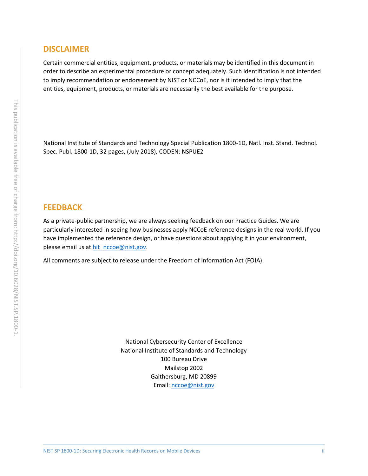#### **DISCLAIMER**

Certain commercial entities, equipment, products, or materials may be identified in this document in order to describe an experimental procedure or concept adequately. Such identification is not intended to imply recommendation or endorsement by NIST or NCCoE, nor is it intended to imply that the entities, equipment, products, or materials are necessarily the best available for the purpose.

National Institute of Standards and Technology Special Publication 1800-1D, Natl. Inst. Stand. Technol. Spec. Publ. 1800-1D, 32 pages, (July 2018), CODEN: NSPUE2

#### **FEEDBACK**

As a private-public partnership, we are always seeking feedback on our Practice Guides. We are particularly interested in seeing how businesses apply NCCoE reference designs in the real world. If you have implemented the reference design, or have questions about applying it in your environment, please email us at [hit\\_nccoe@nist.gov.](mailto:hit_nccoe@nist.gov)

All comments are subject to release under the Freedom of Information Act (FOIA).

National Cybersecurity Center of Excellence National Institute of Standards and Technology 100 Bureau Drive Mailstop 2002 Gaithersburg, MD 20899 Email: [nccoe@nist.gov](mailto:nccoe@nist.gov)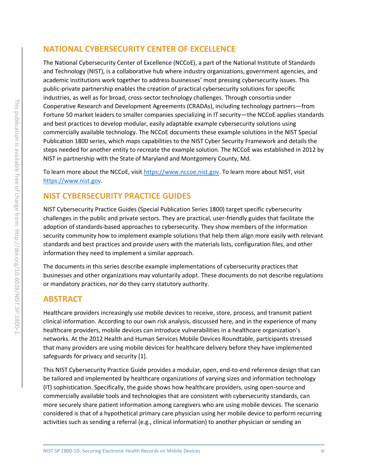#### **NATIONAL CYBERSECURITY CENTER OF EXCELLENCE**

The National Cybersecurity Center of Excellence (NCCoE), a part of the National Institute of Standards and Technology (NIST), is a collaborative hub where industry organizations, government agencies, and academic institutions work together to address businesses' most pressing cybersecurity issues. This public-private partnership enables the creation of practical cybersecurity solutions for specific industries, as well as for broad, cross-sector technology challenges. Through consortia under Cooperative Research and Development Agreements (CRADAs), including technology partners—from Fortune 50 market leaders to smaller companies specializing in IT security—the NCCoE applies standards and best practices to develop modular, easily adaptable example cybersecurity solutions using commercially available technology. The NCCoE documents these example solutions in the NIST Special Publication 1800 series, which maps capabilities to the NIST Cyber Security Framework and details the steps needed for another entity to recreate the example solution. The NCCoE was established in 2012 by NIST in partnership with the State of Maryland and Montgomery County, Md.

To learn more about the NCCoE, visit [https://www.nccoe.nist.gov.](https://www.nccoe.nist.gov/) To learn more about NIST, visit [https://www.nist.gov.](https://www.nist.gov/)

#### **NIST CYBERSECURITY PRACTICE GUIDES**

NIST Cybersecurity Practice Guides (Special Publication Series 1800) target specific cybersecurity challenges in the public and private sectors. They are practical, user-friendly guides that facilitate the adoption of standards-based approaches to cybersecurity. They show members of the information security community how to implement example solutions that help them align more easily with relevant standards and best practices and provide users with the materials lists, configuration files, and other information they need to implement a similar approach.

The documents in this series describe example implementations of cybersecurity practices that businesses and other organizations may voluntarily adopt. These documents do not describe regulations or mandatory practices, nor do they carry statutory authority.

#### **ABSTRACT**

Healthcare providers increasingly use mobile devices to receive, store, process, and transmit patient clinical information. According to our own risk analysis, discussed here, and in the experience of many healthcare providers, mobile devices can introduce vulnerabilities in a healthcare organization's networks. At the 2012 Health and Human Services Mobile Devices Roundtable, participants stressed that many providers are using mobile devices for healthcare delivery before they have implemented safeguards for privacy and security [\[1\].](#page-32-0)

This NIST Cybersecurity Practice Guide provides a modular, open, end-to-end reference design that can be tailored and implemented by healthcare organizations of varying sizes and information technology (IT) sophistication. Specifically, the guide shows how healthcare providers, using open-source and commercially available tools and technologies that are consistent with cybersecurity standards, can more securely share patient information among caregivers who are using mobile devices. The scenario considered is that of a hypothetical primary care physician using her mobile device to perform recurring activities such as sending a referral (e.g., clinical information) to another physician or sending an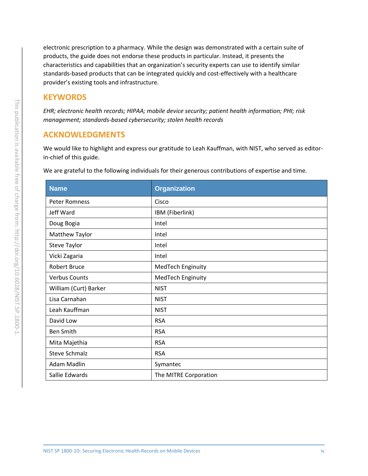electronic prescription to a pharmacy. While the design was demonstrated with a certain suite of products, the guide does not endorse these products in particular. Instead, it presents the characteristics and capabilities that an organization's security experts can use to identify similar standards-based products that can be integrated quickly and cost-effectively with a healthcare provider's existing tools and infrastructure.

#### **KEYWORDS**

*EHR; electronic health records; HIPAA; mobile device security; patient health information; PHI; risk management; standards-based cybersecurity; stolen health records*

#### **ACKNOWLEDGMENTS**

We would like to highlight and express our gratitude to Leah Kauffman, with NIST, who served as editorin-chief of this guide.

We are grateful to the following individuals for their generous contributions of expertise and time.

| <b>Name</b>           | <b>Organization</b>   |
|-----------------------|-----------------------|
| <b>Peter Romness</b>  | Cisco                 |
| Jeff Ward             | IBM (Fiberlink)       |
| Doug Bogia            | Intel                 |
| Matthew Taylor        | Intel                 |
| <b>Steve Taylor</b>   | Intel                 |
| Vicki Zagaria         | Intel                 |
| <b>Robert Bruce</b>   | MedTech Enginuity     |
| <b>Verbus Counts</b>  | MedTech Enginuity     |
| William (Curt) Barker | <b>NIST</b>           |
| Lisa Carnahan         | <b>NIST</b>           |
| Leah Kauffman         | <b>NIST</b>           |
| David Low             | <b>RSA</b>            |
| <b>Ben Smith</b>      | <b>RSA</b>            |
| Mita Majethia         | <b>RSA</b>            |
| <b>Steve Schmalz</b>  | <b>RSA</b>            |
| Adam Madlin           | Symantec              |
| Sallie Edwards        | The MITRE Corporation |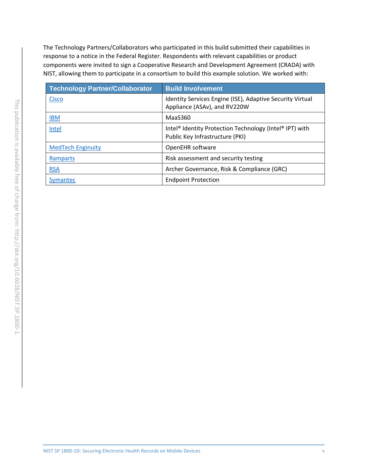The Technology Partners/Collaborators who participated in this build submitted their capabilities in response to a notice in the Federal Register. Respondents with relevant capabilities or product components were invited to sign a Cooperative Research and Development Agreement (CRADA) with NIST, allowing them to participate in a consortium to build this example solution. We worked with:

| <b>Technology Partner/Collaborator</b> | <b>Build Involvement</b>                                                                                           |
|----------------------------------------|--------------------------------------------------------------------------------------------------------------------|
| <b>Cisco</b>                           | Identity Services Engine (ISE), Adaptive Security Virtual<br>Appliance (ASAv), and RV220W                          |
| <b>IBM</b>                             | MaaS360                                                                                                            |
| Intel                                  | Intel <sup>®</sup> Identity Protection Technology (Intel <sup>®</sup> IPT) with<br>Public Key Infrastructure (PKI) |
| <b>MedTech Enginuity</b>               | OpenEHR software                                                                                                   |
| Ramparts                               | Risk assessment and security testing                                                                               |
| <b>RSA</b>                             | Archer Governance, Risk & Compliance (GRC)                                                                         |
| Symantec                               | <b>Endpoint Protection</b>                                                                                         |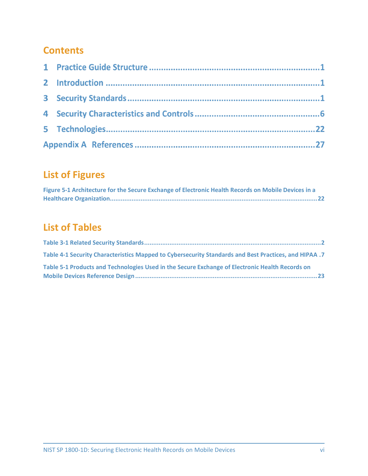## **Contents**

# **List of Figures**

| Figure 5-1 Architecture for the Secure Exchange of Electronic Health Records on Mobile Devices in a |
|-----------------------------------------------------------------------------------------------------|
|                                                                                                     |

# **List of Tables**

| Table 4-1 Security Characteristics Mapped to Cybersecurity Standards and Best Practices, and HIPAA .7 |  |
|-------------------------------------------------------------------------------------------------------|--|
| Table 5-1 Products and Technologies Used in the Secure Exchange of Electronic Health Records on       |  |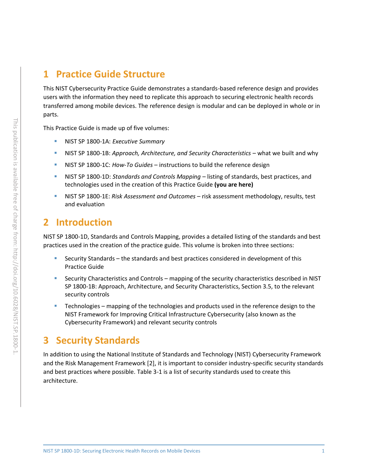## **1 Practice Guide Structure**

This NIST Cybersecurity Practice Guide demonstrates a standards-based reference design and provides users with the information they need to replicate this approach to securing electronic health records transferred among mobile devices. The reference design is modular and can be deployed in whole or in parts.

This Practice Guide is made up of five volumes:

- NIST SP 1800-1A: *Executive Summary*
- **EXECT:** NIST SP 1800-1B: *Approach, Architecture, and Security Characteristics* what we built and why
- NIST SP 1800-1C: *How-To Guides* instructions to build the reference design
- NIST SP 1800-1D: *Standards and Controls Mapping* listing of standards, best practices, and technologies used in the creation of this Practice Guide **(you are here)**
- NIST SP 1800-1E: *Risk Assessment and Outcomes* risk assessment methodology, results, test and evaluation

### **2 Introduction**

NIST SP 1800-1D, Standards and Controls Mapping, provides a detailed listing of the standards and best practices used in the creation of the practice guide. This volume is broken into three sections:

- Security Standards the standards and best practices considered in development of this Practice Guide
- Security Characteristics and Controls mapping of the security characteristics described in NIST SP 1800-1B: Approach, Architecture, and Security Characteristics, Section 3.5, to the relevant security controls
- **EXECO FIGUREY 1** Technologies mapping of the technologies and products used in the reference design to the NIST Framework for Improving Critical Infrastructure Cybersecurity (also known as the Cybersecurity Framework) and relevant security controls

## **3 Security Standards**

In addition to using the National Institute of Standards and Technology (NIST) Cybersecurity Framework and the Risk Management Framework [\[2\],](#page-32-1) it is important to consider industry-specific security standards and best practices where possible. [Table 3-1](#page-7-0) is a list of security standards used to create this architecture.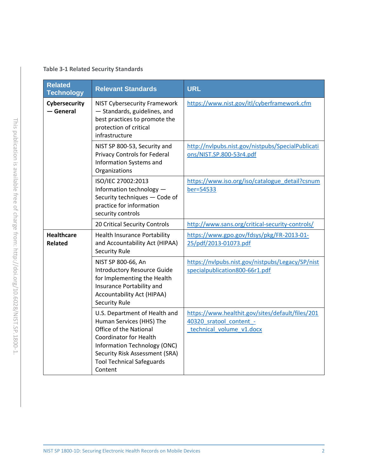#### <span id="page-7-0"></span>**Table 3-1 Related Security Standards**

| <b>Related</b><br><b>Technology</b> | <b>Relevant Standards</b>                                                                                                                                                                                                             | <b>URL</b>                                                                                              |
|-------------------------------------|---------------------------------------------------------------------------------------------------------------------------------------------------------------------------------------------------------------------------------------|---------------------------------------------------------------------------------------------------------|
| Cybersecurity<br>$-$ General        | <b>NIST Cybersecurity Framework</b><br>- Standards, guidelines, and<br>best practices to promote the<br>protection of critical<br>infrastructure                                                                                      | https://www.nist.gov/itl/cyberframework.cfm                                                             |
|                                     | NIST SP 800-53, Security and<br>Privacy Controls for Federal<br>Information Systems and<br>Organizations                                                                                                                              | http://nvlpubs.nist.gov/nistpubs/SpecialPublicati<br>ons/NIST.SP.800-53r4.pdf                           |
|                                     | ISO/IEC 27002:2013<br>Information technology -<br>Security techniques - Code of<br>practice for information<br>security controls                                                                                                      | https://www.iso.org/iso/catalogue detail?csnum<br>ber=54533                                             |
|                                     | 20 Critical Security Controls                                                                                                                                                                                                         | http://www.sans.org/critical-security-controls/                                                         |
| <b>Healthcare</b><br><b>Related</b> | <b>Health Insurance Portability</b><br>and Accountability Act (HIPAA)<br><b>Security Rule</b>                                                                                                                                         | https://www.gpo.gov/fdsys/pkg/FR-2013-01-<br>25/pdf/2013-01073.pdf                                      |
|                                     | NIST SP 800-66, An<br><b>Introductory Resource Guide</b><br>for Implementing the Health<br>Insurance Portability and<br>Accountability Act (HIPAA)<br><b>Security Rule</b>                                                            | https://nvlpubs.nist.gov/nistpubs/Legacy/SP/nist<br>specialpublication800-66r1.pdf                      |
|                                     | U.S. Department of Health and<br>Human Services (HHS) The<br>Office of the National<br><b>Coordinator for Health</b><br>Information Technology (ONC)<br>Security Risk Assessment (SRA)<br><b>Tool Technical Safeguards</b><br>Content | https://www.healthit.gov/sites/default/files/201<br>40320 sratool content -<br>technical volume v1.docx |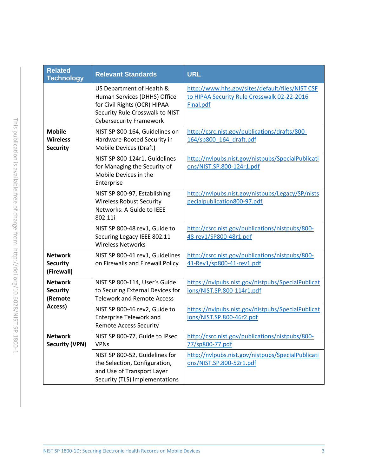| <b>Related</b><br><b>Technology</b>                 | <b>Relevant Standards</b>                                                                                                                                      | <b>URL</b>                                                                                                  |  |  |  |
|-----------------------------------------------------|----------------------------------------------------------------------------------------------------------------------------------------------------------------|-------------------------------------------------------------------------------------------------------------|--|--|--|
|                                                     | US Department of Health &<br>Human Services (DHHS) Office<br>for Civil Rights (OCR) HIPAA<br>Security Rule Crosswalk to NIST<br><b>Cybersecurity Framework</b> | http://www.hhs.gov/sites/default/files/NIST CSF<br>to HIPAA Security Rule Crosswalk 02-22-2016<br>Final.pdf |  |  |  |
| <b>Mobile</b><br><b>Wireless</b><br><b>Security</b> | NIST SP 800-164, Guidelines on<br>Hardware-Rooted Security in<br>Mobile Devices (Draft)                                                                        | http://csrc.nist.gov/publications/drafts/800-<br>164/sp800 164 draft.pdf                                    |  |  |  |
|                                                     | NIST SP 800-124r1, Guidelines<br>for Managing the Security of<br>Mobile Devices in the<br>Enterprise                                                           | http://nvlpubs.nist.gov/nistpubs/SpecialPublicati<br>ons/NIST.SP.800-124r1.pdf                              |  |  |  |
|                                                     | NIST SP 800-97, Establishing<br><b>Wireless Robust Security</b><br>Networks: A Guide to IEEE<br>802.11i                                                        | http://nvlpubs.nist.gov/nistpubs/Legacy/SP/nists<br>pecialpublication800-97.pdf                             |  |  |  |
|                                                     | NIST SP 800-48 rev1, Guide to<br>Securing Legacy IEEE 802.11<br><b>Wireless Networks</b>                                                                       | http://csrc.nist.gov/publications/nistpubs/800-<br>48-rev1/SP800-48r1.pdf                                   |  |  |  |
| <b>Network</b><br><b>Security</b><br>(Firewall)     | NIST SP 800-41 rev1, Guidelines<br>on Firewalls and Firewall Policy                                                                                            | http://csrc.nist.gov/publications/nistpubs/800-<br>41-Rev1/sp800-41-rev1.pdf                                |  |  |  |
| <b>Network</b><br><b>Security</b><br>(Remote        | NIST SP 800-114, User's Guide<br>to Securing External Devices for<br><b>Telework and Remote Access</b>                                                         | https://nvlpubs.nist.gov/nistpubs/SpecialPublicat<br>ions/NIST.SP.800-114r1.pdf                             |  |  |  |
| Access)                                             | NIST SP 800-46 rev2, Guide to<br><b>Enterprise Telework and</b><br><b>Remote Access Security</b>                                                               | https://nvlpubs.nist.gov/nistpubs/SpecialPublicat<br>ions/NIST.SP.800-46r2.pdf                              |  |  |  |
| <b>Network</b><br><b>Security (VPN)</b>             | NIST SP 800-77, Guide to IPsec<br><b>VPNs</b>                                                                                                                  | http://csrc.nist.gov/publications/nistpubs/800-<br>77/sp800-77.pdf                                          |  |  |  |
|                                                     | NIST SP 800-52, Guidelines for<br>the Selection, Configuration,<br>and Use of Transport Layer<br>Security (TLS) Implementations                                | http://nvlpubs.nist.gov/nistpubs/SpecialPublicati<br>ons/NIST.SP.800-52r1.pdf                               |  |  |  |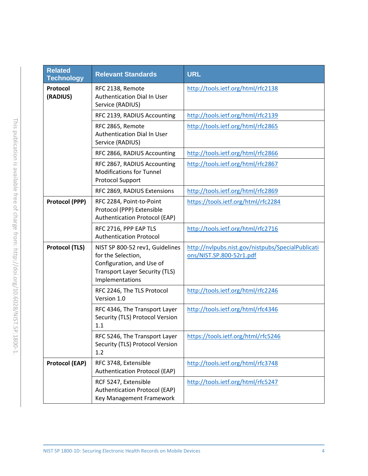| <b>Related</b><br><b>Technology</b> | <b>Relevant Standards</b>                                                                                                                      | <b>URL</b>                                                                    |
|-------------------------------------|------------------------------------------------------------------------------------------------------------------------------------------------|-------------------------------------------------------------------------------|
| Protocol<br>(RADIUS)                | RFC 2138, Remote<br>Authentication Dial In User<br>Service (RADIUS)                                                                            | http://tools.ietf.org/html/rfc2138                                            |
|                                     | RFC 2139, RADIUS Accounting                                                                                                                    | http://tools.ietf.org/html/rfc2139                                            |
|                                     | RFC 2865, Remote<br>Authentication Dial In User<br>Service (RADIUS)                                                                            | http://tools.ietf.org/html/rfc2865                                            |
|                                     | RFC 2866, RADIUS Accounting                                                                                                                    | http://tools.ietf.org/html/rfc2866                                            |
|                                     | RFC 2867, RADIUS Accounting<br><b>Modifications for Tunnel</b><br>Protocol Support                                                             | http://tools.ietf.org/html/rfc2867                                            |
|                                     | RFC 2869, RADIUS Extensions                                                                                                                    | http://tools.ietf.org/html/rfc2869                                            |
| <b>Protocol (PPP)</b>               | RFC 2284, Point-to-Point<br>Protocol (PPP) Extensible<br>Authentication Protocol (EAP)                                                         | https://tools.ietf.org/html/rfc2284                                           |
|                                     | RFC 2716, PPP EAP TLS<br><b>Authentication Protocol</b>                                                                                        | http://tools.ietf.org/html/rfc2716                                            |
| <b>Protocol (TLS)</b>               | NIST SP 800-52 rev1, Guidelines<br>for the Selection,<br>Configuration, and Use of<br><b>Transport Layer Security (TLS)</b><br>Implementations | http://nvlpubs.nist.gov/nistpubs/SpecialPublicati<br>ons/NIST.SP.800-52r1.pdf |
|                                     | RFC 2246, The TLS Protocol<br>Version 1.0                                                                                                      | http://tools.ietf.org/html/rfc2246                                            |
|                                     | RFC 4346, The Transport Layer<br>Security (TLS) Protocol Version<br>1.1                                                                        | http://tools.ietf.org/html/rfc4346                                            |
|                                     | RFC 5246, The Transport Layer<br>Security (TLS) Protocol Version<br>1.2                                                                        | https://tools.ietf.org/html/rfc5246                                           |
| <b>Protocol (EAP)</b>               | RFC 3748, Extensible<br>Authentication Protocol (EAP)                                                                                          | http://tools.ietf.org/html/rfc3748                                            |
|                                     | RCF 5247, Extensible<br>Authentication Protocol (EAP)<br>Key Management Framework                                                              | http://tools.ietf.org/html/rfc5247                                            |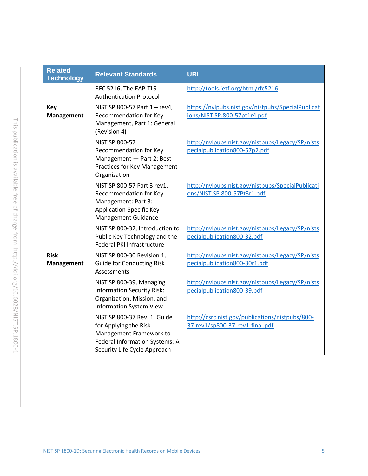| <b>Related</b><br><b>Technology</b> | <b>Relevant Standards</b>                                                                                                                          | <b>URL</b>                                                                         |
|-------------------------------------|----------------------------------------------------------------------------------------------------------------------------------------------------|------------------------------------------------------------------------------------|
|                                     | RFC 5216, The EAP-TLS<br><b>Authentication Protocol</b>                                                                                            | http://tools.ietf.org/html/rfc5216                                                 |
| <b>Key</b><br><b>Management</b>     | NIST SP 800-57 Part 1 - rev4,<br>Recommendation for Key<br>Management, Part 1: General<br>(Revision 4)                                             | https://nvlpubs.nist.gov/nistpubs/SpecialPublicat<br>ions/NIST.SP.800-57pt1r4.pdf  |
|                                     | <b>NIST SP 800-57</b><br>Recommendation for Key<br>Management - Part 2: Best<br>Practices for Key Management<br>Organization                       | http://nvlpubs.nist.gov/nistpubs/Legacy/SP/nists<br>pecialpublication800-57p2.pdf  |
|                                     | NIST SP 800-57 Part 3 rev1,<br>Recommendation for Key<br>Management: Part 3:<br>Application-Specific Key<br><b>Management Guidance</b>             | http://nvlpubs.nist.gov/nistpubs/SpecialPublicati<br>ons/NIST.SP.800-57Pt3r1.pdf   |
|                                     | NIST SP 800-32, Introduction to<br>Public Key Technology and the<br>Federal PKI Infrastructure                                                     | http://nvlpubs.nist.gov/nistpubs/Legacy/SP/nists<br>pecialpublication800-32.pdf    |
| <b>Risk</b><br><b>Management</b>    | NIST SP 800-30 Revision 1,<br><b>Guide for Conducting Risk</b><br>Assessments                                                                      | http://nvlpubs.nist.gov/nistpubs/Legacy/SP/nists<br>pecialpublication800-30r1.pdf  |
|                                     | NIST SP 800-39, Managing<br><b>Information Security Risk:</b><br>Organization, Mission, and<br><b>Information System View</b>                      | http://nvlpubs.nist.gov/nistpubs/Legacy/SP/nists<br>pecialpublication800-39.pdf    |
|                                     | NIST SP 800-37 Rev. 1, Guide<br>for Applying the Risk<br>Management Framework to<br>Federal Information Systems: A<br>Security Life Cycle Approach | http://csrc.nist.gov/publications/nistpubs/800-<br>37-rev1/sp800-37-rev1-final.pdf |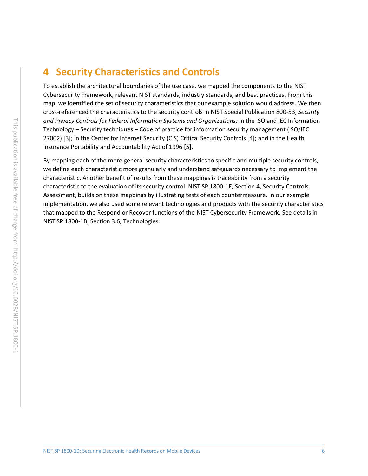## **4 Security Characteristics and Controls**

To establish the architectural boundaries of the use case, we mapped the components to the NIST Cybersecurity Framework, relevant NIST standards, industry standards, and best practices. From this map, we identified the set of security characteristics that our example solution would address. We then cross-referenced the characteristics to the security controls in NIST Special Publication 800-53, *Security and Privacy Controls for Federal Information Systems and Organizations;* in the ISO and IEC Information Technology – Security techniques – Code of practice for information security management (ISO/IEC 27002) [\[3\];](#page-32-2) in the Center for Internet Security (CIS) Critical Security Controls [\[4\];](#page-32-3) and in the Health Insurance Portability and Accountability Act of 1996 [\[5\].](#page-32-4)

By mapping each of the more general security characteristics to specific and multiple security controls, we define each characteristic more granularly and understand safeguards necessary to implement the characteristic. Another benefit of results from these mappings is traceability from a security characteristic to the evaluation of its security control. NIST SP 1800-1E, Section 4, Security Controls Assessment, builds on these mappings by illustrating tests of each countermeasure. In our example implementation, we also used some relevant technologies and products with the security characteristics that mapped to the Respond or Recover functions of the NIST Cybersecurity Framework. See details in NIST SP 1800-1B, Section 3.6, Technologies.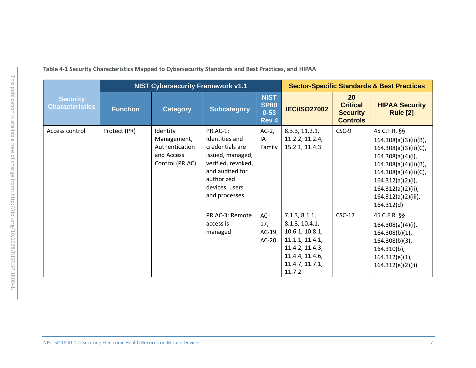<span id="page-12-0"></span>

|                                           |                 | <b>NIST Cybersecurity Framework v1.1</b>                                   |                                                                                                                                                                    |                                                 | <b>Sector-Specific Standards &amp; Best Practices</b>                                                                                    |                                                             |                                                                                                                                                                                                                             |
|-------------------------------------------|-----------------|----------------------------------------------------------------------------|--------------------------------------------------------------------------------------------------------------------------------------------------------------------|-------------------------------------------------|------------------------------------------------------------------------------------------------------------------------------------------|-------------------------------------------------------------|-----------------------------------------------------------------------------------------------------------------------------------------------------------------------------------------------------------------------------|
| <b>Security</b><br><b>Characteristics</b> | <b>Function</b> | <b>Category</b>                                                            | <b>Subcategory</b>                                                                                                                                                 | <b>NIST</b><br><b>SP80</b><br>$0 - 53$<br>Rev 4 | <b>IEC/ISO27002</b>                                                                                                                      | 20<br><b>Critical</b><br><b>Security</b><br><b>Controls</b> | <b>HIPAA Security</b><br><b>Rule [2]</b>                                                                                                                                                                                    |
| Access control                            | Protect (PR)    | Identity<br>Management,<br>Authentication<br>and Access<br>Control (PR.AC) | <b>PR.AC-1:</b><br>Identities and<br>credentials are<br>issued, managed,<br>verified, revoked,<br>and audited for<br>authorized<br>devices, users<br>and processes | $AC-2$ ,<br>IA<br>Family                        | 8.3.3, 11.2.1,<br>11.2.2, 11.2.4,<br>15.2.1, 11.4.3                                                                                      | CSC-9                                                       | 45 C.F.R. §§<br>164.308(a)(3)(ii)(B),<br>164.308(a)(3)(ii)(C),<br>$164.308(a)(4)(i)$ ,<br>164.308(a)(4)(ii)(B),<br>164.308(a)(4)(ii)(C),<br>$164.312(a)(2)(i)$ ,<br>164.312(a)(2)(ii),<br>164.312(a)(2)(iii),<br>164.312(d) |
|                                           |                 |                                                                            | PR.AC-3: Remote<br>access is<br>managed                                                                                                                            | $AC-$<br>17,<br>$AC-19$ ,<br>$AC-20$            | 7.1.3, 8.1.1,<br>8.1.3, 10.4.1,<br>10.6.1, 10.8.1,<br>11.1.1, 11.4.1,<br>11.4.2, 11.4.3,<br>11.4.4, 11.4.6,<br>11.4.7, 11.7.1,<br>11.7.2 | $CSC-17$                                                    | 45 C.F.R. §§<br>$164.308(a)(4)(i)$ ,<br>164.308(b)(1),<br>164.308(b)(3),<br>$164.310(b)$ ,<br>164.312(e)(1),<br>164.312(e)(2)(ii)                                                                                           |

**Table 4-1 Security Characteristics Mapped to Cybersecurity Standards and Best Practices, and HIPAA**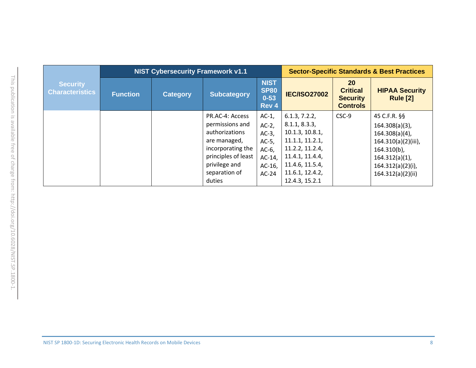|                                           | <b>NIST Cybersecurity Framework v1.1</b> |                 |                                                                                                                                                              |                                                                                               | <b>Sector-Specific Standards &amp; Best Practices</b>                                                                                                              |                                                                    |                                                                                                                                                                   |
|-------------------------------------------|------------------------------------------|-----------------|--------------------------------------------------------------------------------------------------------------------------------------------------------------|-----------------------------------------------------------------------------------------------|--------------------------------------------------------------------------------------------------------------------------------------------------------------------|--------------------------------------------------------------------|-------------------------------------------------------------------------------------------------------------------------------------------------------------------|
| <b>Security</b><br><b>Characteristics</b> | <b>Function</b>                          | <b>Category</b> | <b>Subcategory</b>                                                                                                                                           | <b>NIST</b><br><b>SP80</b><br>$0 - 53$<br>Rev 4                                               | <b>IEC/ISO27002</b>                                                                                                                                                | <b>20</b><br><b>Critical</b><br><b>Security</b><br><b>Controls</b> | <b>HIPAA Security</b><br><b>Rule [2]</b>                                                                                                                          |
|                                           |                                          |                 | PR.AC-4: Access<br>permissions and<br>authorizations<br>are managed,<br>incorporating the<br>principles of least<br>privilege and<br>separation of<br>duties | $AC-1$ ,<br>$AC-2$ ,<br>$AC-3$ ,<br>$AC-5$ ,<br>$AC-6$ ,<br>$AC-14$ ,<br>$AC-16$ ,<br>$AC-24$ | 6.1.3, 7.2.2,<br>8.1.1, 8.3.3,<br>10.1.3, 10.8.1,<br>11.1.1, 11.2.1,<br>11.2.2, 11.2.4,<br>11.4.1, 11.4.4,<br>11.4.6, 11.5.4,<br>11.6.1, 12.4.2,<br>12.4.3, 15.2.1 | CSC-9                                                              | 45 C.F.R. §§<br>$164.308(a)(3)$ ,<br>$164.308(a)(4)$ ,<br>164.310(a)(2)(iii),<br>$164.310(b)$ ,<br>$164.312(a)(1)$ ,<br>$164.312(a)(2)(i)$ ,<br>164.312(a)(2)(ii) |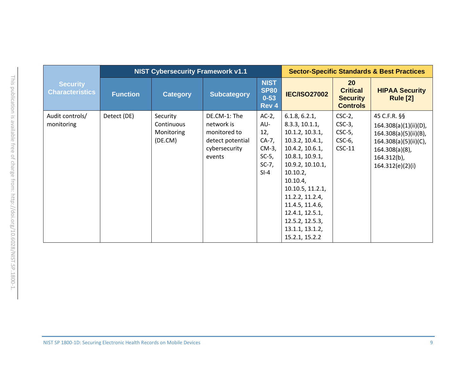|                                           | <b>NIST Cybersecurity Framework v1.1</b> |                                                 |                                                                                           |                                                                            | <b>Sector-Specific Standards &amp; Best Practices</b>                                                                                                                                                                                                                                       |                                                                    |                                                                                                                                                    |  |
|-------------------------------------------|------------------------------------------|-------------------------------------------------|-------------------------------------------------------------------------------------------|----------------------------------------------------------------------------|---------------------------------------------------------------------------------------------------------------------------------------------------------------------------------------------------------------------------------------------------------------------------------------------|--------------------------------------------------------------------|----------------------------------------------------------------------------------------------------------------------------------------------------|--|
| <b>Security</b><br><b>Characteristics</b> | <b>Function</b>                          | <b>Category</b>                                 | <b>Subcategory</b>                                                                        | <b>NIST</b><br><b>SP80</b><br>$0 - 53$<br>Rev 4                            | <b>IEC/ISO27002</b>                                                                                                                                                                                                                                                                         | <b>20</b><br><b>Critical</b><br><b>Security</b><br><b>Controls</b> | <b>HIPAA Security</b><br><b>Rule [2]</b>                                                                                                           |  |
| Audit controls/<br>monitoring             | Detect (DE)                              | Security<br>Continuous<br>Monitoring<br>(DE.CM) | DE.CM-1: The<br>network is<br>monitored to<br>detect potential<br>cybersecurity<br>events | $AC-2$ ,<br>AU-<br>12,<br>CA-7,<br>CM-3,<br>$SC-5$ ,<br>$SC-7$ ,<br>$SI-4$ | 6.1.8, 6.2.1,<br>8.3.3, 10.1.1,<br>10.1.2, 10.3.1,<br>10.3.2, 10.4.1,<br>10.4.2, 10.6.1,<br>10.8.1, 10.9.1,<br>10.9.2, 10.10.1,<br>10.10.2,<br>10.10.4<br>10.10.5, 11.2.1,<br>11.2.2, 11.2.4,<br>11.4.5, 11.4.6,<br>12.4.1, 12.5.1,<br>12.5.2, 12.5.3,<br>13.1.1, 13.1.2,<br>15.2.1, 15.2.2 | $CSC-2$ ,<br>$CSC-3$ ,<br>$CSC-5$ ,<br>$CSC-6$ ,<br>$CSC-11$       | 45 C.F.R. §§<br>164.308(a)(1)(ii)(D),<br>164.308(a)(5)(ii)(B),<br>164.308(a)(5)(ii)(C),<br>$164.308(a)(8)$ ,<br>$164.312(b)$ ,<br>164.312(e)(2)(i) |  |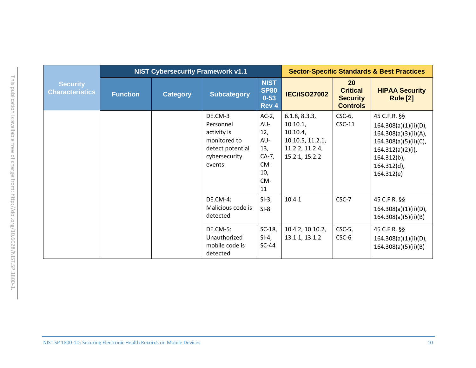|                                           |                 | <b>NIST Cybersecurity Framework v1.1</b> |                                                                                                    |                                                                            | <b>Sector-Specific Standards &amp; Best Practices</b>                                            |                                                             |                                                                                                                                                                   |  |
|-------------------------------------------|-----------------|------------------------------------------|----------------------------------------------------------------------------------------------------|----------------------------------------------------------------------------|--------------------------------------------------------------------------------------------------|-------------------------------------------------------------|-------------------------------------------------------------------------------------------------------------------------------------------------------------------|--|
| <b>Security</b><br><b>Characteristics</b> | <b>Function</b> | <b>Category</b>                          | <b>Subcategory</b>                                                                                 | <b>NIST</b><br><b>SP80</b><br>$0 - 53$<br>Rev 4                            | <b>IEC/ISO27002</b>                                                                              | 20<br><b>Critical</b><br><b>Security</b><br><b>Controls</b> | <b>HIPAA Security</b><br><b>Rule [2]</b>                                                                                                                          |  |
|                                           |                 |                                          | DE.CM-3<br>Personnel<br>activity is<br>monitored to<br>detect potential<br>cybersecurity<br>events | $AC-2$ ,<br>AU-<br>12,<br>AU-<br>13,<br>$CA-7,$<br>CM-<br>10,<br>CM-<br>11 | 6.1.8, 8.3.3,<br>$10.10.1$ ,<br>10.10.4<br>10.10.5, 11.2.1,<br>11.2.2, 11.2.4,<br>15.2.1, 15.2.2 | $CSC-6$ ,<br>$CSC-11$                                       | 45 C.F.R. §§<br>164.308(a)(1)(ii)(D),<br>164.308(a)(3)(ii)(A),<br>164.308(a)(5)(ii)(C),<br>$164.312(a)(2)(i)$ ,<br>$164.312(b)$ ,<br>$164.312(d)$ ,<br>164.312(e) |  |
|                                           |                 |                                          | <b>DE.CM-4:</b><br>Malicious code is<br>detected                                                   | $SI-3,$<br>$SI-8$                                                          | 10.4.1                                                                                           | CSC-7                                                       | 45 C.F.R. §§<br>$164.308(a)(1)(ii)(D)$ ,<br>164.308(a)(5)(ii)(B)                                                                                                  |  |
|                                           |                 |                                          | <b>DE.CM-5:</b><br>Unauthorized<br>mobile code is<br>detected                                      | $SC-18$ ,<br>$SI-4,$<br>$SC-44$                                            | 10.4.2, 10.10.2,<br>13.1.1, 13.1.2                                                               | $CSC-5$ ,<br>CSC-6                                          | 45 C.F.R. §§<br>164.308(a)(1)(ii)(D),<br>164.308(a)(5)(ii)(B)                                                                                                     |  |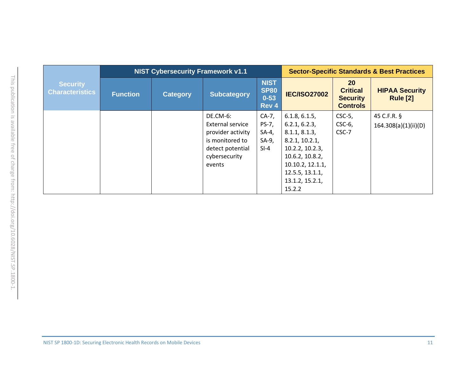|                                           | <b>NIST Cybersecurity Framework v1.1</b> |                 |                                                                                                                     |                                                    | <b>Sector-Specific Standards &amp; Best Practices</b>                                                                                                             |                                                                    |                                          |  |
|-------------------------------------------|------------------------------------------|-----------------|---------------------------------------------------------------------------------------------------------------------|----------------------------------------------------|-------------------------------------------------------------------------------------------------------------------------------------------------------------------|--------------------------------------------------------------------|------------------------------------------|--|
| <b>Security</b><br><b>Characteristics</b> | <b>Function</b>                          | <b>Category</b> | <b>Subcategory</b>                                                                                                  | <b>NIST</b><br><b>SP80</b><br>$0 - 53$<br>Rev 4    | <b>IEC/ISO27002</b>                                                                                                                                               | <b>20</b><br><b>Critical</b><br><b>Security</b><br><b>Controls</b> | <b>HIPAA Security</b><br><b>Rule [2]</b> |  |
|                                           |                                          |                 | DE.CM-6:<br>External service<br>provider activity<br>is monitored to<br>detect potential<br>cybersecurity<br>events | $CA-7$ ,<br>PS-7,<br>$SA-4$ ,<br>$SA-9,$<br>$SI-4$ | 6.1.8, 6.1.5,<br>6.2.1, 6.2.3,<br>8.1.1, 8.1.3,<br>8.2.1, 10.2.1,<br>10.2.2, 10.2.3,<br>10.6.2, 10.8.2,<br>10.10.2, 12.1.1,<br>12.5.5, 13.1.1,<br>13.1.2, 15.2.1, | $CSC-5$ ,<br>$CSC-6$ ,<br>CSC-7                                    | 45 C.F.R. §<br>164.308(a)(1)(ii)(D)      |  |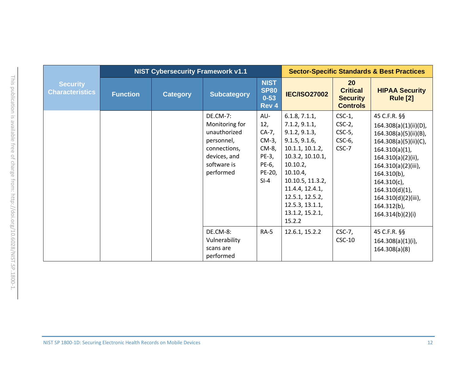|                                           |                 | <b>NIST Cybersecurity Framework v1.1</b> |                                                                                                                             | <b>Sector-Specific Standards &amp; Best Practices</b>                            |                                                                                                                                                                                                                                           |                                                                    |                                                                                                                                                                                                                                                                                 |
|-------------------------------------------|-----------------|------------------------------------------|-----------------------------------------------------------------------------------------------------------------------------|----------------------------------------------------------------------------------|-------------------------------------------------------------------------------------------------------------------------------------------------------------------------------------------------------------------------------------------|--------------------------------------------------------------------|---------------------------------------------------------------------------------------------------------------------------------------------------------------------------------------------------------------------------------------------------------------------------------|
| <b>Security</b><br><b>Characteristics</b> | <b>Function</b> | <b>Category</b>                          | <b>Subcategory</b>                                                                                                          | <b>NIST</b><br><b>SP80</b><br>$0 - 53$<br>Rev 4                                  | <b>IEC/ISO27002</b>                                                                                                                                                                                                                       | <b>20</b><br><b>Critical</b><br><b>Security</b><br><b>Controls</b> | <b>HIPAA Security</b><br><b>Rule [2]</b>                                                                                                                                                                                                                                        |
|                                           |                 |                                          | <b>DE.CM-7:</b><br>Monitoring for<br>unauthorized<br>personnel,<br>connections,<br>devices, and<br>software is<br>performed | AU-<br>12,<br>$CA-7,$<br>$CM-3$ ,<br>CM-8,<br>PE-3,<br>PE-6,<br>PE-20,<br>$SI-4$ | 6.1.8, 7.1.1,<br>7.1.2, 9.1.1,<br>9.1.2, 9.1.3,<br>9.1.5, 9.1.6,<br>10.1.1, 10.1.2,<br>10.3.2, 10.10.1,<br>10.10.2,<br>10.10.4,<br>10.10.5, 11.3.2,<br>11.4.4, 12.4.1,<br>12.5.1, 12.5.2,<br>12.5.3, 13.1.1,<br>13.1.2, 15.2.1,<br>15.2.2 | $CSC-1$ ,<br>$CSC-2$ ,<br>$CSC-5$ ,<br>$CSC-6$ ,<br>CSC-7          | 45 C.F.R. §§<br>164.308(a)(1)(ii)(D),<br>164.308(a)(5)(ii)(B),<br>164.308(a)(5)(ii)(C),<br>$164.310(a)(1)$ ,<br>164.310(a)(2)(ii),<br>164.310(a)(2)(iii),<br>$164.310(b)$ ,<br>$164.310(c)$ ,<br>$164.310(d)(1)$ ,<br>164.310(d)(2)(iii),<br>$164.312(b)$ ,<br>164.314(b)(2)(i) |
|                                           |                 |                                          | DE.CM-8:<br>Vulnerability<br>scans are<br>performed                                                                         | $RA-5$                                                                           | 12.6.1, 15.2.2                                                                                                                                                                                                                            | $CSC-7$ ,<br>$CSC-10$                                              | 45 C.F.R. §§<br>164.308(a)(1)(i),<br>164.308(a)(8)                                                                                                                                                                                                                              |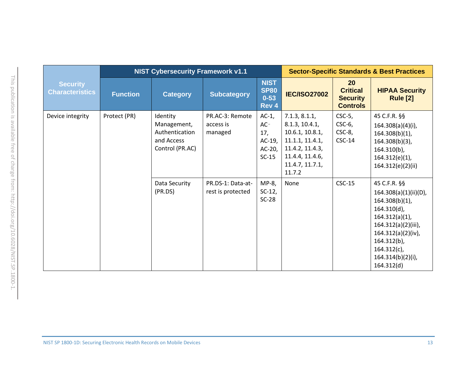|                                           |                 | <b>NIST Cybersecurity Framework v1.1</b>                                   |                                         | <b>Sector-Specific Standards &amp; Best Practices</b>      |                                                                                                                                          |                                                                          |                                                                                                                                                                                                                                |
|-------------------------------------------|-----------------|----------------------------------------------------------------------------|-----------------------------------------|------------------------------------------------------------|------------------------------------------------------------------------------------------------------------------------------------------|--------------------------------------------------------------------------|--------------------------------------------------------------------------------------------------------------------------------------------------------------------------------------------------------------------------------|
| <b>Security</b><br><b>Characteristics</b> | <b>Function</b> | <b>Category</b>                                                            | <b>Subcategory</b>                      | <b>NIST</b><br><b>SP80</b><br>$0 - 53$<br>Rev 4            | <b>IEC/ISO27002</b>                                                                                                                      | 20 <sub>2</sub><br><b>Critical</b><br><b>Security</b><br><b>Controls</b> | <b>HIPAA Security</b><br><b>Rule [2]</b>                                                                                                                                                                                       |
| Device integrity                          | Protect (PR)    | Identity<br>Management,<br>Authentication<br>and Access<br>Control (PR.AC) | PR.AC-3: Remote<br>access is<br>managed | $AC-1$ ,<br>$AC-$<br>17,<br>AC-19,<br>$AC-20$ ,<br>$SC-15$ | 7.1.3, 8.1.1,<br>8.1.3, 10.4.1,<br>10.6.1, 10.8.1,<br>11.1.1, 11.4.1,<br>11.4.2, 11.4.3,<br>11.4.4, 11.4.6,<br>11.4.7, 11.7.1,<br>11.7.2 | $CSC-5$ ,<br>$CSC-6$ ,<br>$CSC-8$ ,<br>$CSC-14$                          | 45 C.F.R. §§<br>164.308(a)(4)(i),<br>$164.308(b)(1)$ ,<br>$164.308(b)(3)$ ,<br>$164.310(b)$ ,<br>$164.312(e)(1)$ ,<br>164.312(e)(2)(ii)                                                                                        |
|                                           |                 | Data Security<br>(PR.DS)                                                   | PR.DS-1: Data-at-<br>rest is protected  | MP-8,<br>$SC-12$ ,<br>$SC-28$                              | None                                                                                                                                     | $CSC-15$                                                                 | 45 C.F.R. §§<br>$164.308(a)(1)(ii)(D)$ ,<br>$164.308(b)(1)$ ,<br>$164.310(d)$ ,<br>$164.312(a)(1)$ ,<br>164.312(a)(2)(iii),<br>$164.312(a)(2)(iv)$ ,<br>$164.312(b)$ ,<br>$164.312(c)$ ,<br>$164.314(b)(2)(i)$ ,<br>164.312(d) |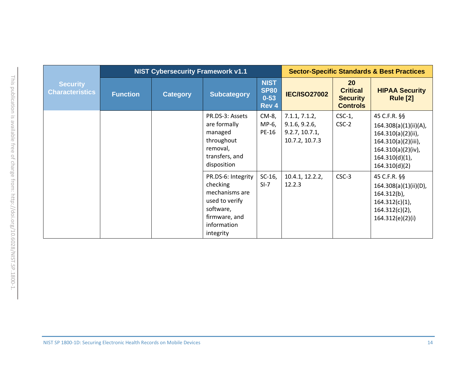|                                           |                 | <b>NIST Cybersecurity Framework v1.1</b> |                                                                                                                              |                                                 | <b>Sector-Specific Standards &amp; Best Practices</b>              |                                                             |                                                                                                                                                |  |
|-------------------------------------------|-----------------|------------------------------------------|------------------------------------------------------------------------------------------------------------------------------|-------------------------------------------------|--------------------------------------------------------------------|-------------------------------------------------------------|------------------------------------------------------------------------------------------------------------------------------------------------|--|
| <b>Security</b><br><b>Characteristics</b> | <b>Function</b> | <b>Category</b>                          | <b>Subcategory</b>                                                                                                           | <b>NIST</b><br><b>SP80</b><br>$0 - 53$<br>Rev 4 | <b>IEC/ISO27002</b>                                                | 20<br><b>Critical</b><br><b>Security</b><br><b>Controls</b> | <b>HIPAA Security</b><br><b>Rule [2]</b>                                                                                                       |  |
|                                           |                 |                                          | PR.DS-3: Assets<br>are formally<br>managed<br>throughout<br>removal,<br>transfers, and<br>disposition                        | CM-8,<br>MP-6,<br>PE-16                         | 7.1.1, 7.1.2,<br>9.1.6, 9.2.6,<br>9.2.7, 10.7.1,<br>10.7.2, 10.7.3 | $CSC-1$ ,<br>$CSC-2$                                        | 45 C.F.R. §§<br>164.308(a)(1)(ii)(A),<br>164.310(a)(2)(ii),<br>164.310(a)(2)(iii),<br>164.310(a)(2)(iv),<br>$164.310(d)(1)$ ,<br>164.310(d)(2) |  |
|                                           |                 |                                          | PR.DS-6: Integrity<br>checking<br>mechanisms are<br>used to verify<br>software,<br>firmware, and<br>information<br>integrity | $SC-16$ ,<br>$SI-7$                             | 10.4.1, 12.2.2,<br>12.2.3                                          | CSC-3                                                       | 45 C.F.R. §§<br>$164.308(a)(1)(ii)(D)$ ,<br>$164.312(b)$ ,<br>$164.312(c)(1)$ ,<br>$164.312(c)(2)$ ,<br>164.312(e)(2)(i)                       |  |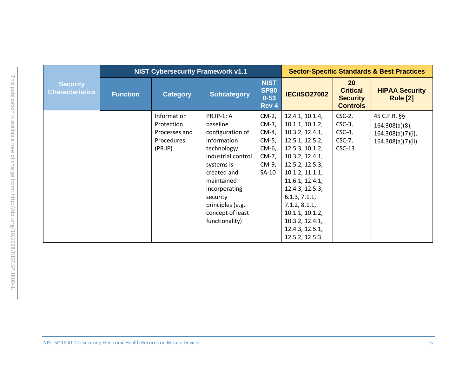|                                           |                 | <b>NIST Cybersecurity Framework v1.1</b> |                    | <b>Sector-Specific Standards &amp; Best Practices</b> |                     |                                                                    |                                          |
|-------------------------------------------|-----------------|------------------------------------------|--------------------|-------------------------------------------------------|---------------------|--------------------------------------------------------------------|------------------------------------------|
| <b>Security</b><br><b>Characteristics</b> | <b>Function</b> | <b>Category</b>                          | <b>Subcategory</b> | <b>NIST</b><br><b>SP80</b><br>$0 - 53$<br>Rev 4       | <b>IEC/ISO27002</b> | <b>20</b><br><b>Critical</b><br><b>Security</b><br><b>Controls</b> | <b>HIPAA Security</b><br><b>Rule [2]</b> |
|                                           |                 | Information                              | <b>PR.IP-1: A</b>  | $CM-2$ ,                                              | 12.4.1, 10.1.4,     | $CSC-2$ ,                                                          | 45 C.F.R. §§                             |
|                                           |                 | Protection                               | baseline           | CM-3,                                                 | 10.1.1, 10.1.2,     | $CSC-3$ ,                                                          | $164.308(a)(8)$ ,                        |
|                                           |                 | Processes and                            | configuration of   | CM-4,                                                 | 10.3.2, 12.4.1,     | $CSC-4$ ,                                                          | 164.308(a)(7)(i),                        |
|                                           |                 | Procedures                               | information        | CM-5,                                                 | 12.5.1, 12.5.2,     | $CSC-7$ ,                                                          | 164.308(a)(7)(ii)                        |
|                                           |                 | (PR.IP)                                  | technology/        | CM-6,                                                 | 12.5.3, 10.1.2,     | $CSC-13$                                                           |                                          |
|                                           |                 |                                          | industrial control | CM-7,                                                 | 10.3.2, 12.4.1,     |                                                                    |                                          |
|                                           |                 |                                          | systems is         | CM-9,                                                 | 12.5.2, 12.5.3,     |                                                                    |                                          |
|                                           |                 |                                          | created and        | $SA-10$                                               | 10.1.2, 11.1.1,     |                                                                    |                                          |
|                                           |                 |                                          | maintained         |                                                       | 11.6.1, 12.4.1,     |                                                                    |                                          |
|                                           |                 |                                          | incorporating      |                                                       | 12.4.3, 12.5.3,     |                                                                    |                                          |
|                                           |                 |                                          | security           |                                                       | 6.1.3, 7.1.1,       |                                                                    |                                          |
|                                           |                 |                                          | principles (e.g.   |                                                       | 7.1.2, 8.1.1,       |                                                                    |                                          |
|                                           |                 |                                          | concept of least   |                                                       | 10.1.1, 10.1.2,     |                                                                    |                                          |
|                                           |                 |                                          | functionality)     |                                                       | 10.3.2, 12.4.1,     |                                                                    |                                          |
|                                           |                 |                                          |                    |                                                       | 12.4.3, 12.5.1,     |                                                                    |                                          |
|                                           |                 |                                          |                    |                                                       | 12.5.2, 12.5.3      |                                                                    |                                          |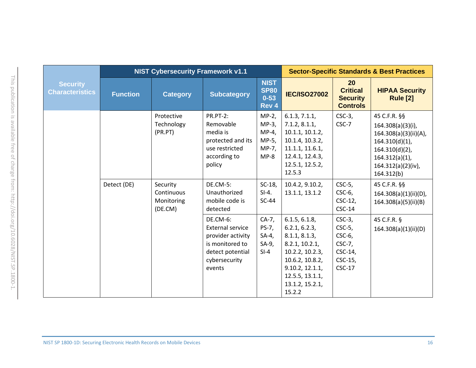|                                           |                 | <b>NIST Cybersecurity Framework v1.1</b>        |                                                                                                                            | <b>Sector-Specific Standards &amp; Best Practices</b>   |                                                                                                                                                                            |                                                                                    |                                                                                                                                                            |
|-------------------------------------------|-----------------|-------------------------------------------------|----------------------------------------------------------------------------------------------------------------------------|---------------------------------------------------------|----------------------------------------------------------------------------------------------------------------------------------------------------------------------------|------------------------------------------------------------------------------------|------------------------------------------------------------------------------------------------------------------------------------------------------------|
| <b>Security</b><br><b>Characteristics</b> | <b>Function</b> | <b>Category</b>                                 | <b>Subcategory</b>                                                                                                         | <b>NIST</b><br><b>SP80</b><br>$0 - 53$<br>Rev 4         | <b>IEC/ISO27002</b>                                                                                                                                                        | 20<br><b>Critical</b><br><b>Security</b><br><b>Controls</b>                        | <b>HIPAA Security</b><br><b>Rule [2]</b>                                                                                                                   |
|                                           |                 | Protective<br>Technology<br>(PR.PT)             | <b>PR.PT-2:</b><br>Removable<br>media is<br>protected and its<br>use restricted<br>according to<br>policy                  | $MP-2,$<br>MP-3,<br>$MP-4,$<br>MP-5,<br>MP-7,<br>$MP-8$ | 6.1.3, 7.1.1,<br>7.1.2, 8.1.1,<br>10.1.1, 10.1.2,<br>10.1.4, 10.3.2,<br>11.1.1, 11.6.1,<br>12.4.1, 12.4.3,<br>12.5.1, 12.5.2,<br>12.5.3                                    | $CSC-3$ ,<br>CSC-7                                                                 | 45 C.F.R. §§<br>164.308(a)(3)(i),<br>164.308(a)(3)(ii)(A),<br>$164.310(d)(1)$ ,<br>164.310(d)(2),<br>$164.312(a)(1)$ ,<br>164.312(a)(2)(iv),<br>164.312(b) |
|                                           | Detect (DE)     | Security<br>Continuous<br>Monitoring<br>(DE.CM) | <b>DE.CM-5:</b><br>Unauthorized<br>mobile code is<br>detected                                                              | $SC-18$ ,<br>$SI-4.$<br>$SC-44$                         | 10.4.2, 9.10.2,<br>13.1.1, 13.1.2                                                                                                                                          | $CSC-5$ ,<br>CSC-6,<br>CSC-12,<br>$CSC-14$                                         | 45 C.F.R. §§<br>164.308(a)(1)(ii)(D),<br>164.308(a)(5)(ii)(B)                                                                                              |
|                                           |                 |                                                 | DE.CM-6:<br><b>External service</b><br>provider activity<br>is monitored to<br>detect potential<br>cybersecurity<br>events | $CA-7,$<br>PS-7,<br>$SA-4$ ,<br>$SA-9,$<br>$SI-4$       | 6.1.5, 6.1.8,<br>6.2.1, 6.2.3,<br>8.1.1, 8.1.3,<br>8.2.1, 10.2.1,<br>10.2.2, 10.2.3,<br>10.6.2, 10.8.2,<br>9.10.2, 12.1.1,<br>12.5.5, 13.1.1,<br>13.1.2, 15.2.1,<br>15.2.2 | $CSC-3$ ,<br>$CSC-5$ ,<br>$CSC-6$ ,<br>$CSC-7$ ,<br>CSC-14,<br>CSC-15,<br>$CSC-17$ | 45 C.F.R. §<br>164.308(a)(1)(ii)(D)                                                                                                                        |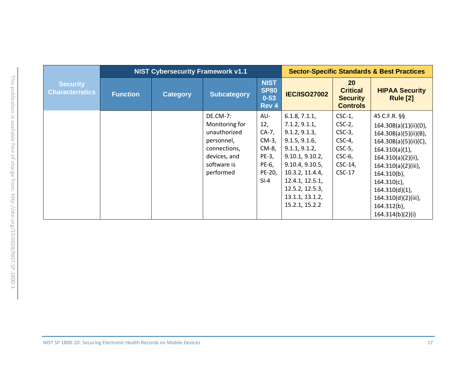|                                           |                 | <b>NIST Cybersecurity Framework v1.1</b> |                    |                                                 | <b>Sector-Specific Standards &amp; Best Practices</b> |                                                                    |                                          |  |
|-------------------------------------------|-----------------|------------------------------------------|--------------------|-------------------------------------------------|-------------------------------------------------------|--------------------------------------------------------------------|------------------------------------------|--|
| <b>Security</b><br><b>Characteristics</b> | <b>Function</b> | <b>Category</b>                          | <b>Subcategory</b> | <b>NIST</b><br><b>SP80</b><br>$0 - 53$<br>Rev 4 | <b>IEC/ISO27002</b>                                   | <b>20</b><br><b>Critical</b><br><b>Security</b><br><b>Controls</b> | <b>HIPAA Security</b><br><b>Rule [2]</b> |  |
|                                           |                 |                                          | <b>DE.CM-7:</b>    | AU-                                             | 6.1.8, 7.1.1,                                         | $CSC-1$ ,                                                          | 45 C.F.R. §§                             |  |
|                                           |                 |                                          | Monitoring for     | 12,                                             | 7.1.2, 9.1.1,                                         | $CSC-2$ ,                                                          | 164.308(a)(1)(ii)(D),                    |  |
|                                           |                 |                                          | unauthorized       | CA-7,                                           | 9.1.2, 9.1.3,                                         | $CSC-3$ ,                                                          | 164.308(a)(5)(ii)(B),                    |  |
|                                           |                 |                                          | personnel,         | CM-3,                                           | 9.1.5, 9.1.6,                                         | $CSC-4$ ,                                                          | 164.308(a)(5)(ii)(C),                    |  |
|                                           |                 |                                          | connections,       | CM-8,                                           | 9.1.1, 9.1.2,                                         | $CSC-5$ ,                                                          | $164.310(a)(1)$ ,                        |  |
|                                           |                 |                                          | devices, and       | PE-3,                                           | 9.10.1, 9.10.2,                                       | $CSC-6$ ,                                                          | 164.310(a)(2)(ii),                       |  |
|                                           |                 |                                          | software is        | PE-6,                                           | 9.10.4, 9.10.5,                                       | $CSC-14$ ,                                                         | 164.310(a)(2)(iii),                      |  |
|                                           |                 |                                          | performed          | PE-20,                                          | 10.3.2, 11.4.4,                                       | $CSC-17$                                                           | $164.310(b)$ ,                           |  |
|                                           |                 |                                          |                    | $SI-4$                                          | 12.4.1, 12.5.1,                                       |                                                                    | $164.310(c)$ ,                           |  |
|                                           |                 |                                          |                    |                                                 | 12.5.2, 12.5.3,                                       |                                                                    | $164.310(d)(1)$ ,                        |  |
|                                           |                 |                                          |                    |                                                 | 13.1.1, 13.1.2,                                       |                                                                    | 164.310(d)(2)(iii),                      |  |
|                                           |                 |                                          |                    |                                                 | 15.2.1, 15.2.2                                        |                                                                    | $164.312(b)$ ,                           |  |
|                                           |                 |                                          |                    |                                                 |                                                       |                                                                    | 164.314(b)(2)(i)                         |  |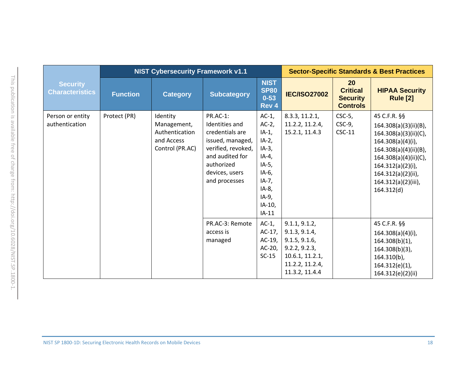|                                           |                 | <b>NIST Cybersecurity Framework v1.1</b>                                   |                                                                                                                                                                           |                                                                                                                                                    | <b>Sector-Specific Standards &amp; Best Practices</b>                                                                    |                                                             |                                                                                                                                                                                                                       |
|-------------------------------------------|-----------------|----------------------------------------------------------------------------|---------------------------------------------------------------------------------------------------------------------------------------------------------------------------|----------------------------------------------------------------------------------------------------------------------------------------------------|--------------------------------------------------------------------------------------------------------------------------|-------------------------------------------------------------|-----------------------------------------------------------------------------------------------------------------------------------------------------------------------------------------------------------------------|
| <b>Security</b><br><b>Characteristics</b> | <b>Function</b> | <b>Category</b>                                                            | <b>Subcategory</b>                                                                                                                                                        | <b>NIST</b><br><b>SP80</b><br>$0 - 53$<br>Rev 4                                                                                                    | <b>IEC/ISO27002</b>                                                                                                      | 20<br><b>Critical</b><br><b>Security</b><br><b>Controls</b> | <b>HIPAA Security</b><br><b>Rule [2]</b>                                                                                                                                                                              |
| Person or entity<br>authentication        | Protect (PR)    | Identity<br>Management,<br>Authentication<br>and Access<br>Control (PR.AC) | <b>PR.AC-1:</b><br><b>Identities</b> and<br>credentials are<br>issued, managed,<br>verified, revoked,<br>and audited for<br>authorized<br>devices, users<br>and processes | $AC-1$ ,<br>$AC-2$ ,<br>$IA-1$ ,<br>$IA-2,$<br>$IA-3,$<br>$IA-4,$<br>$IA-5,$<br>$IA-6$ ,<br>$IA-7,$<br>$IA-8$ ,<br>$IA-9,$<br>$IA-10$ ,<br>$IA-11$ | 8.3.3, 11.2.1,<br>11.2.2, 11.2.4,<br>15.2.1, 11.4.3                                                                      | $CSC-5$ ,<br>$CSC-9,$<br>$CSC-11$                           | 45 C.F.R. §§<br>164.308(a)(3)(ii)(B),<br>164.308(a)(3)(ii)(C),<br>164.308(a)(4)(i),<br>164.308(a)(4)(ii)(B),<br>164.308(a)(4)(ii)(C),<br>164.312(a)(2)(i),<br>164.312(a)(2)(ii),<br>164.312(a)(2)(iii),<br>164.312(d) |
|                                           |                 |                                                                            | PR.AC-3: Remote<br>access is<br>managed                                                                                                                                   | $AC-1$ ,<br>$AC-17,$<br>$AC-19$ ,<br>$AC-20$ ,<br>$SC-15$                                                                                          | 9.1.1, 9.1.2,<br>9.1.3, 9.1.4,<br>9.1.5, 9.1.6,<br>9.2.2, 9.2.3,<br>10.6.1, 11.2.1,<br>11.2.2, 11.2.4,<br>11.3.2, 11.4.4 |                                                             | 45 C.F.R. §§<br>164.308(a)(4)(i),<br>$164.308(b)(1)$ ,<br>164.308(b)(3),<br>$164.310(b)$ ,<br>164.312(e)(1),<br>164.312(e)(2)(ii)                                                                                     |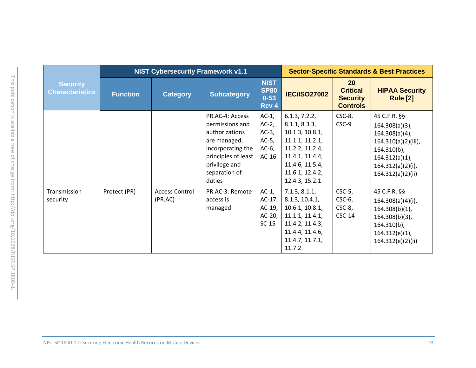|                                           |                 | <b>NIST Cybersecurity Framework v1.1</b> |                                                                                                                                                              | <b>Sector-Specific Standards &amp; Best Practices</b>               |                                                                                                                                                                    |                                                             |                                                                                                                                                                |
|-------------------------------------------|-----------------|------------------------------------------|--------------------------------------------------------------------------------------------------------------------------------------------------------------|---------------------------------------------------------------------|--------------------------------------------------------------------------------------------------------------------------------------------------------------------|-------------------------------------------------------------|----------------------------------------------------------------------------------------------------------------------------------------------------------------|
| <b>Security</b><br><b>Characteristics</b> | <b>Function</b> | <b>Category</b>                          | <b>Subcategory</b>                                                                                                                                           | <b>NIST</b><br><b>SP80</b><br>$0 - 53$<br>Rev 4                     | <b>IEC/ISO27002</b>                                                                                                                                                | 20<br><b>Critical</b><br><b>Security</b><br><b>Controls</b> | <b>HIPAA Security</b><br><b>Rule [2]</b>                                                                                                                       |
|                                           |                 |                                          | PR.AC-4: Access<br>permissions and<br>authorizations<br>are managed,<br>incorporating the<br>principles of least<br>privilege and<br>separation of<br>duties | $AC-1$ ,<br>$AC-2$ ,<br>$AC-3$ ,<br>$AC-5$ ,<br>$AC-6$ ,<br>$AC-16$ | 6.1.3, 7.2.2,<br>8.1.1, 8.3.3,<br>10.1.3, 10.8.1,<br>11.1.1, 11.2.1,<br>11.2.2, 11.2.4,<br>11.4.1, 11.4.4,<br>11.4.6, 11.5.4,<br>11.6.1, 12.4.2,<br>12.4.3, 15.2.1 | $CSC-8$ ,<br>CSC-9                                          | 45 C.F.R. §§<br>$164.308(a)(3)$ ,<br>$164.308(a)(4)$ ,<br>164.310(a)(2)(iii),<br>$164.310(b)$ ,<br>$164.312(a)(1)$ ,<br>164.312(a)(2)(i),<br>164.312(a)(2)(ii) |
| Transmission<br>security                  | Protect (PR)    | <b>Access Control</b><br>(PR.AC)         | PR.AC-3: Remote<br>access is<br>managed                                                                                                                      | $AC-1$ ,<br>$AC-17$ ,<br>AC-19,<br>$AC-20$ ,<br>$SC-15$             | 7.1.3, 8.1.1,<br>8.1.3, 10.4.1,<br>10.6.1, 10.8.1,<br>11.1.1, 11.4.1,<br>11.4.2, 11.4.3,<br>11.4.4, 11.4.6,<br>11.4.7, 11.7.1,<br>11.7.2                           | $CSC-5$ ,<br>$CSC-6$ ,<br>$CSC-8$ ,<br>$CSC-14$             | 45 C.F.R. §§<br>$164.308(a)(4)(i)$ ,<br>$164.308(b)(1)$ ,<br>$164.308(b)(3)$ ,<br>$164.310(b)$ ,<br>$164.312(e)(1)$ ,<br>164.312(e)(2)(ii)                     |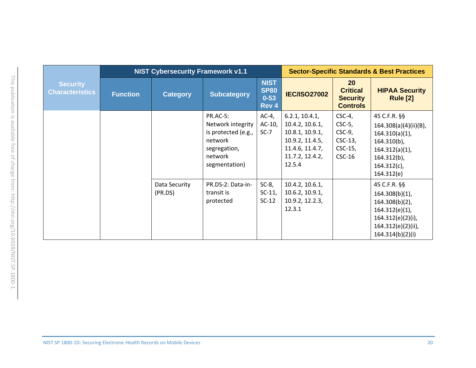|                                           |                 | <b>NIST Cybersecurity Framework v1.1</b> |                                                                                                                    |                                                 | <b>Sector-Specific Standards &amp; Best Practices</b>                                                                   |                                                                             |                                                                                                                                                     |  |
|-------------------------------------------|-----------------|------------------------------------------|--------------------------------------------------------------------------------------------------------------------|-------------------------------------------------|-------------------------------------------------------------------------------------------------------------------------|-----------------------------------------------------------------------------|-----------------------------------------------------------------------------------------------------------------------------------------------------|--|
| <b>Security</b><br><b>Characteristics</b> | <b>Function</b> | <b>Category</b>                          | <b>Subcategory</b>                                                                                                 | <b>NIST</b><br><b>SP80</b><br>$0 - 53$<br>Rev 4 | <b>IEC/ISO27002</b>                                                                                                     | <b>20</b><br><b>Critical</b><br><b>Security</b><br><b>Controls</b>          | <b>HIPAA Security</b><br><b>Rule [2]</b>                                                                                                            |  |
|                                           |                 |                                          | <b>PR.AC-5:</b><br>Network integrity<br>is protected (e.g.,<br>network<br>segregation,<br>network<br>segmentation) | $AC-4$ ,<br>AC-10,<br>$SC-7$                    | 6.2.1, 10.4.1,<br>10.4.2, 10.6.1,<br>10.8.1, 10.9.1,<br>10.9.2, 11.4.5,<br>11.4.6, 11.4.7,<br>11.7.2, 12.4.2,<br>12.5.4 | $CSC-4$ ,<br>$CSC-5$ ,<br>$CSC-9$ ,<br>$CSC-13$ ,<br>$CSC-15$ ,<br>$CSC-16$ | 45 C.F.R. §§<br>164.308(a)(4)(ii)(B),<br>$164.310(a)(1)$ ,<br>$164.310(b)$ ,<br>$164.312(a)(1)$ ,<br>$164.312(b)$ ,<br>$164.312(c)$ ,<br>164.312(e) |  |
|                                           |                 | Data Security<br>(PR.DS)                 | PR.DS-2: Data-in-<br>transit is<br>protected                                                                       | $SC-8$ ,<br>$SC-11$ ,<br>$SC-12$                | 10.4.2, 10.6.1,<br>10.6.2, 10.9.1,<br>10.9.2, 12.2.3,<br>12.3.1                                                         |                                                                             | 45 C.F.R. §§<br>$164.308(b)(1)$ ,<br>$164.308(b)(2)$ ,<br>164.312(e)(1),<br>164.312(e)(2)(i),<br>164.312(e)(2)(ii),<br>164.314(b)(2)(i)             |  |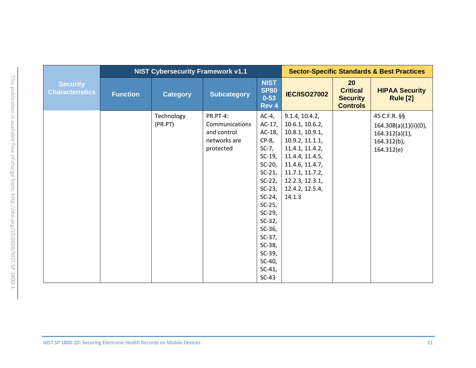|                                           |                 | <b>NIST Cybersecurity Framework v1.1</b> |                                                                        |                                                                                                                                                                                                                                                                       | <b>Sector-Specific Standards &amp; Best Practices</b>                                                                                                                                               |                                                             |                                                                                            |  |
|-------------------------------------------|-----------------|------------------------------------------|------------------------------------------------------------------------|-----------------------------------------------------------------------------------------------------------------------------------------------------------------------------------------------------------------------------------------------------------------------|-----------------------------------------------------------------------------------------------------------------------------------------------------------------------------------------------------|-------------------------------------------------------------|--------------------------------------------------------------------------------------------|--|
| <b>Security</b><br><b>Characteristics</b> | <b>Function</b> | <b>Category</b>                          | <b>Subcategory</b>                                                     | <b>NIST</b><br><b>SP80</b><br>$0 - 53$<br>Rev 4                                                                                                                                                                                                                       | <b>IEC/ISO27002</b>                                                                                                                                                                                 | 20<br><b>Critical</b><br><b>Security</b><br><b>Controls</b> | <b>HIPAA Security</b><br><b>Rule [2]</b>                                                   |  |
|                                           |                 | Technology<br>(PR.PT)                    | PR.PT-4:<br>Communications<br>and control<br>networks are<br>protected | $AC-4$ ,<br>$AC-17$ ,<br>AC-18,<br>$CP-8$ ,<br>$SC-7$ ,<br>$SC-19$ ,<br>$SC-20$ ,<br>$SC-21$ ,<br>$SC-22$ ,<br>$SC-23$ ,<br>$SC-24$ ,<br>$SC-25$ ,<br>$SC-29$ ,<br>$SC-32$ ,<br>$SC-36$ ,<br>$SC-37$ ,<br>$SC-38$ ,<br>$SC-39$ ,<br>$SC-40$ ,<br>$SC-41$ ,<br>$SC-43$ | 9.1.4, 10.4.2,<br>10.6.1, 10.6.2,<br>10.8.1, 10.9.1,<br>10.9.2, 11.1.1,<br>11.4.1, 11.4.2,<br>11.4.4, 11.4.5,<br>11.4.6, 11.4.7,<br>11.7.1, 11.7.2,<br>12.2.3, 12.3.1,<br>12.4.2, 12.5.4,<br>14.1.3 |                                                             | 45 C.F.R. §§<br>164.308(a)(1)(ii)(D),<br>$164.312(a)(1)$ ,<br>$164.312(b)$ ,<br>164.312(e) |  |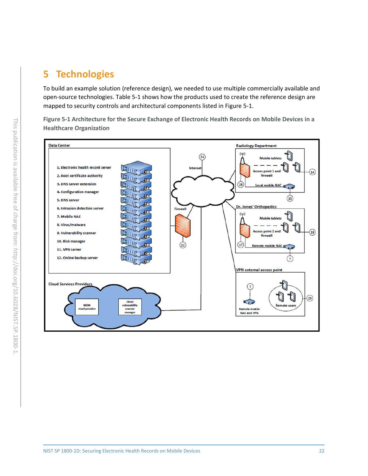# <span id="page-27-1"></span>**5 Technologies**

To build an example solution (reference design), we needed to use multiple commercially available and open-source technologies. [Table 5-1](#page-28-0) shows how the products used to create the reference design are mapped to security controls and architectural components listed in [Figure 5-1.](#page-27-0)

<span id="page-27-0"></span>**Figure 5-1 Architecture for the Secure Exchange of Electronic Health Records on Mobile Devices in a Healthcare Organization**

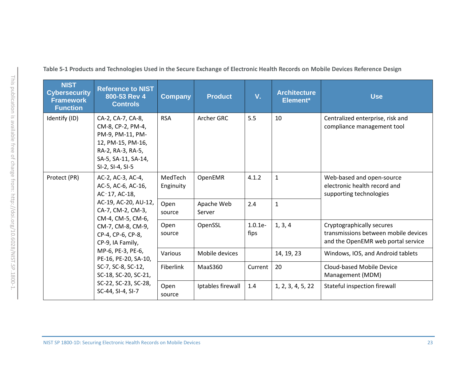<span id="page-28-0"></span>

| <b>NIST</b><br><b>Cybersecurity</b><br><b>Framework</b><br><b>Function</b> | <b>Reference to NIST</b><br>800-53 Rev 4<br><b>Controls</b>                                                                                                                                                                                                                                                                      | <b>Company</b>       | <b>Product</b>       | V.                | <b>Architecture</b><br>Element* | <b>Use</b>                                                                                              |
|----------------------------------------------------------------------------|----------------------------------------------------------------------------------------------------------------------------------------------------------------------------------------------------------------------------------------------------------------------------------------------------------------------------------|----------------------|----------------------|-------------------|---------------------------------|---------------------------------------------------------------------------------------------------------|
| Identify (ID)                                                              | CA-2, CA-7, CA-8,<br>CM-8, CP-2, PM-4,<br>PM-9, PM-11, PM-<br>12, PM-15, PM-16,<br>RA-2, RA-3, RA-5,<br>SA-5, SA-11, SA-14,<br>SI-2, SI-4, SI-5                                                                                                                                                                                  | <b>RSA</b>           | Archer GRC           | 5.5               | 10                              | Centralized enterprise, risk and<br>compliance management tool                                          |
| Protect (PR)                                                               | AC-2, AC-3, AC-4,<br>AC-5, AC-6, AC-16,<br>AC-17, AC-18,<br>AC-19, AC-20, AU-12,<br>CA-7, CM-2, CM-3,<br>CM-4, CM-5, CM-6,<br>CM-7, CM-8, CM-9,<br>CP-4, CP-6, CP-8,<br>CP-9, IA Family,<br>MP-6, PE-3, PE-6,<br>PE-16, PE-20, SA-10,<br>SC-7, SC-8, SC-12,<br>SC-18, SC-20, SC-21,<br>SC-22, SC-23, SC-28,<br>SC-44, SI-4, SI-7 | MedTech<br>Enginuity | OpenEMR              | 4.1.2             | $\mathbf{1}$                    | Web-based and open-source<br>electronic health record and<br>supporting technologies                    |
|                                                                            |                                                                                                                                                                                                                                                                                                                                  | Open<br>source       | Apache Web<br>Server | 2.4               | $\mathbf{1}$                    |                                                                                                         |
|                                                                            |                                                                                                                                                                                                                                                                                                                                  | Open<br>source       | OpenSSL              | $1.0.1e-$<br>fips | 1, 3, 4                         | Cryptographically secures<br>transmissions between mobile devices<br>and the OpenEMR web portal service |
|                                                                            |                                                                                                                                                                                                                                                                                                                                  | Various              | Mobile devices       |                   | 14, 19, 23                      | Windows, IOS, and Android tablets                                                                       |
|                                                                            |                                                                                                                                                                                                                                                                                                                                  | Fiberlink            | MaaS360              | Current           | 20                              | Cloud-based Mobile Device<br>Management (MDM)                                                           |
|                                                                            |                                                                                                                                                                                                                                                                                                                                  | Open<br>source       | Iptables firewall    | 1.4               | 1, 2, 3, 4, 5, 22               | Stateful inspection firewall                                                                            |

**Table 5-1 Products and Technologies Used in the Secure Exchange of Electronic Health Records on Mobile Devices Reference Design**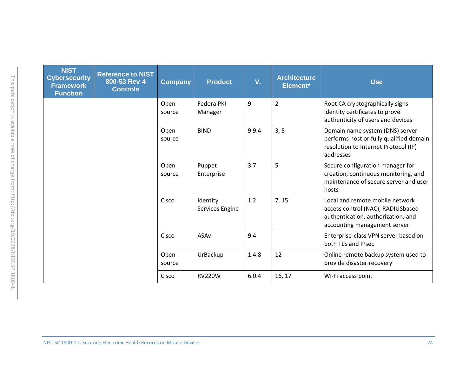| <b>NIST</b><br><b>Cybersecurity</b><br><b>Framework</b><br><b>Function</b> | <b>Reference to NIST</b><br>800-53 Rev 4<br><b>Controls</b> | <b>Company</b> | <b>Product</b>              | V.    | <b>Architecture</b><br>Element* | <b>Use</b>                                                                                                                                 |
|----------------------------------------------------------------------------|-------------------------------------------------------------|----------------|-----------------------------|-------|---------------------------------|--------------------------------------------------------------------------------------------------------------------------------------------|
|                                                                            |                                                             | Open<br>source | Fedora PKI<br>Manager       | 9     | $\overline{2}$                  | Root CA cryptographically signs<br>identity certificates to prove<br>authenticity of users and devices                                     |
|                                                                            |                                                             | Open<br>source | <b>BIND</b>                 | 9.9.4 | 3, 5                            | Domain name system (DNS) server<br>performs host or fully qualified domain<br>resolution to Internet Protocol (IP)<br>addresses            |
|                                                                            |                                                             | Open<br>source | Puppet<br>Enterprise        | 3.7   | 5                               | Secure configuration manager for<br>creation, continuous monitoring, and<br>maintenance of secure server and user<br>hosts                 |
|                                                                            |                                                             | Cisco          | Identity<br>Services Engine | 1.2   | 7, 15                           | Local and remote mobile network<br>access control (NAC), RADIUSbased<br>authentication, authorization, and<br>accounting management server |
|                                                                            |                                                             | Cisco          | <b>ASAv</b>                 | 9.4   |                                 | Enterprise-class VPN server based on<br>both TLS and IPsec                                                                                 |
|                                                                            |                                                             | Open<br>source | UrBackup                    | 1.4.8 | 12                              | Online remote backup system used to<br>provide disaster recovery                                                                           |
|                                                                            |                                                             | Cisco          | <b>RV220W</b>               | 6.0.4 | 16, 17                          | Wi-Fi access point                                                                                                                         |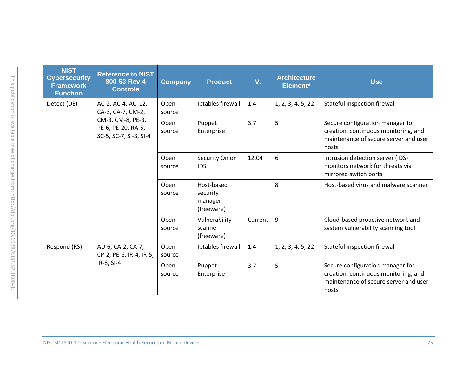| <b>NIST</b><br><b>Cybersecurity</b><br><b>Framework</b><br><b>Function</b> | <b>Reference to NIST</b><br>800-53 Rev 4<br><b>Controls</b>                                                  | <b>Company</b> | <b>Product</b>                                  | V.      | <b>Architecture</b><br>Element* | <b>Use</b>                                                                                                                 |
|----------------------------------------------------------------------------|--------------------------------------------------------------------------------------------------------------|----------------|-------------------------------------------------|---------|---------------------------------|----------------------------------------------------------------------------------------------------------------------------|
| Detect (DE)                                                                | AC-2, AC-4, AU-12,<br>CA-3, CA-7, CM-2,<br>CM-3, CM-8, PE-3,<br>PE-6, PE-20, RA-5,<br>SC-5, SC-7, SI-3, SI-4 | Open<br>source | Iptables firewall                               | 1.4     | 1, 2, 3, 4, 5, 22               | Stateful inspection firewall                                                                                               |
|                                                                            |                                                                                                              | Open<br>source | Puppet<br>Enterprise                            | 3.7     | 5                               | Secure configuration manager for<br>creation, continuous monitoring, and<br>maintenance of secure server and user<br>hosts |
|                                                                            |                                                                                                              | Open<br>source | Security Onion<br><b>IDS</b>                    | 12.04   | 6                               | Intrusion detection server (IDS)<br>monitors network for threats via<br>mirrored switch ports                              |
|                                                                            |                                                                                                              | Open<br>source | Host-based<br>security<br>manager<br>(freeware) |         | 8                               | Host-based virus and malware scanner                                                                                       |
|                                                                            |                                                                                                              | Open<br>source | Vulnerability<br>scanner<br>(freeware)          | Current | 9                               | Cloud-based proactive network and<br>system vulnerability scanning tool                                                    |
| Respond (RS)                                                               | AU-6, CA-2, CA-7,<br>CP-2, PE-6, IR-4, IR-5,<br>IR-8, SI-4                                                   | Open<br>source | Iptables firewall                               | 1.4     | 1, 2, 3, 4, 5, 22               | Stateful inspection firewall                                                                                               |
|                                                                            |                                                                                                              | Open<br>source | Puppet<br>Enterprise                            | 3.7     | 5                               | Secure configuration manager for<br>creation, continuous monitoring, and<br>maintenance of secure server and user<br>hosts |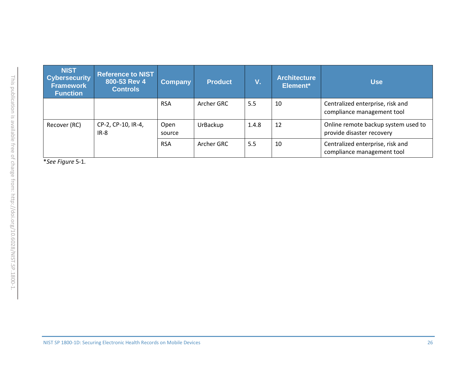| <b>NIST</b><br><b>Cybersecurity</b><br><b>Framework</b><br><b>Function</b> | <b>Reference to NIST</b><br>800-53 Rev 4<br><b>Controls</b> | <b>Company</b> | <b>Product</b> | V.    | <b>Architecture</b><br>Element* | <b>Use</b>                                                       |
|----------------------------------------------------------------------------|-------------------------------------------------------------|----------------|----------------|-------|---------------------------------|------------------------------------------------------------------|
|                                                                            |                                                             | <b>RSA</b>     | Archer GRC     | 5.5   | 10                              | Centralized enterprise, risk and<br>compliance management tool   |
| Recover (RC)                                                               | CP-2, CP-10, IR-4,<br>$IR-8$                                | Open<br>source | UrBackup       | 1.4.8 | 12                              | Online remote backup system used to<br>provide disaster recovery |
|                                                                            |                                                             | <b>RSA</b>     | Archer GRC     | 5.5   | 10                              | Centralized enterprise, risk and<br>compliance management tool   |

\**Se[e Figure](#page-27-1)* 5-1*.*